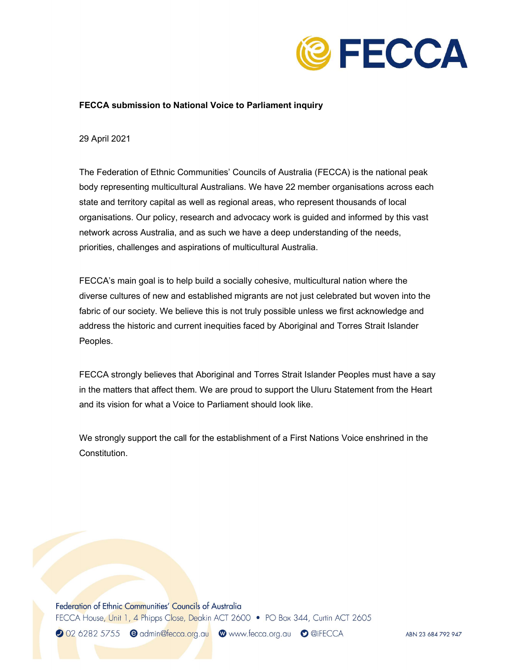

## FECCA submission to National Voice to Parliament inquiry

29 April 2021

 The Federation of Ethnic Communities' Councils of Australia (FECCA) is the national peak body representing multicultural Australians. We have 22 member organisations across each state and territory capital as well as regional areas, who represent thousands of local organisations. Our policy, research and advocacy work is guided and informed by this vast network across Australia, and as such we have a deep understanding of the needs, priorities, challenges and aspirations of multicultural Australia.

 FECCA's main goal is to help build a socially cohesive, multicultural nation where the diverse cultures of new and established migrants are not just celebrated but woven into the fabric of our society. We believe this is not truly possible unless we first acknowledge and address the historic and current inequities faced by Aboriginal and Torres Strait Islander Peoples.

 FECCA strongly believes that Aboriginal and Torres Strait Islander Peoples must have a say in the matters that affect them. We are proud to support the Uluru Statement from the Heart and its vision for what a Voice to Parliament should look like.

 We strongly support the call for the establishment of a First Nations Voice enshrined in the Constitution.

Federation of Ethnic Communities' Councils of Australia FECCA House, Unit 1, 4 Phipps Close, Deakin ACT 2600 • PO Box 344, Curtin ACT 2605

2 02 6282 5755 ● admin@fecca.org.au ● www.fecca.org.au ● @iFECCA